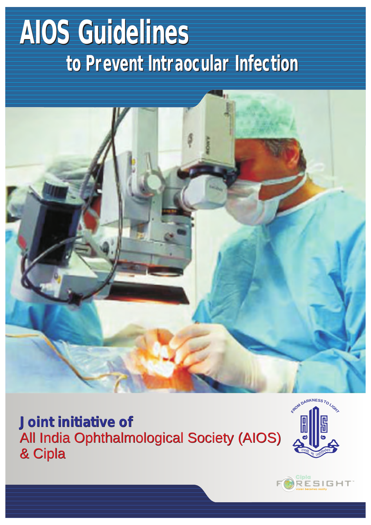# **AIOS Guidelines to Prevent Intraocular Infection**



*Joint initiative of*  All India Ophthalmological Society (AIOS) & Cipla



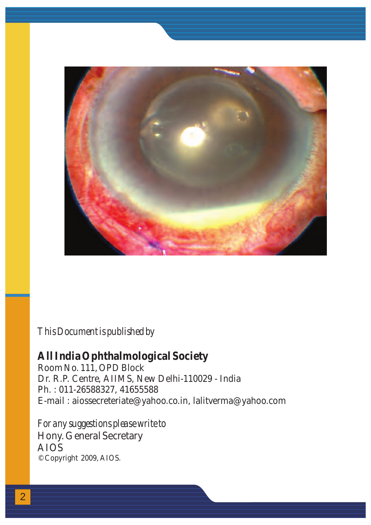

#### *This Document is published by*

**All India Ophthalmological Society**  Room No. 111, OPD Block Dr. R.P. Centre, AIIMS, New Delhi-110029 - India Ph. : 011-26588327, 41655588 E-mail : aiossecreteriate@yahoo.co.in, lalitverma@yahoo.com

*For any suggestions please write to* Hony. General Secretary © Copyright 2009, AIOS. AIOS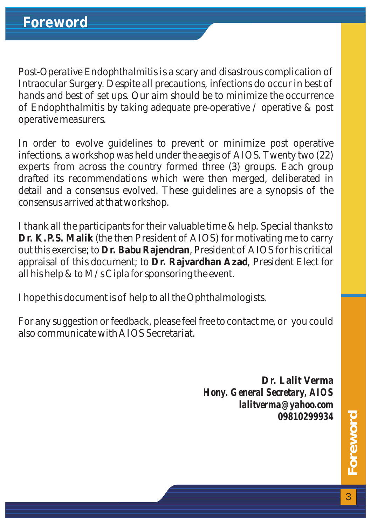Post-Operative Endophthalmitis is a scary and disastrous complication of Intraocular Surgery. Despite all precautions, infections do occur in best of hands and best of set ups. Our aim should be to minimize the occurrence of Endophthalmitis by taking adequate pre-operative / operative & post operative measurers.

In order to evolve guidelines to prevent or minimize post operative infections, a workshop was held under the aegis of AIOS. Twenty two (22) experts from across the country formed three (3) groups. Each group drafted its recommendations which were then merged, deliberated in detail and a consensus evolved. These guidelines are a synopsis of the consensus arrived at that workshop.

I thank all the participants for their valuable time & help. Special thanks to **Dr. K.P.S. Malik** (the then President of AIOS) for motivating me to carry out this exercise; to **Dr. Babu Rajendran**, President of AIOS for his critical appraisal of this document; to **Dr. Rajvardhan Azad**, President Elect for all his help & to M/s Cipla for sponsoring the event.

I hope this document is of help to all the Ophthalmologists.

For any suggestion or feedback, please feel free to contact me, or you could also communicate with AIOS Secretariat.

> **Dr. Lalit Verma** *Hony. General Secretary, AIOS lalitverma@yahoo.com 09810299934*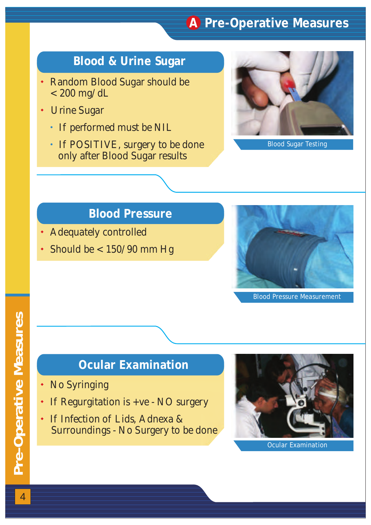#### **A Pre-Operative Measures**

#### **Blood & Urine Sugar**

- Random Blood Sugar should be  $< 200$  mg/dL
- Urine Sugar<br>• If perform<br>• If POSITI
	- If performed must be NIL
	- If POSITIVE, surgery to be done only after Blood Sugar results



Blood Sugar Testing

#### **Blood Pressure**

- Adequately controlled
- Adequately controlled<br>• Should be < 150/90 mm Hg



Blood Pressure Measurement

#### **Ocular Examination**

- No Syringing
- If Regurgitation is +ve NO surgery
- No Syringing<br>• If Regurgitation is +ve NO sum<br>• If Infection of Lids, Adnexa & Surroundings - No Surgery to be done

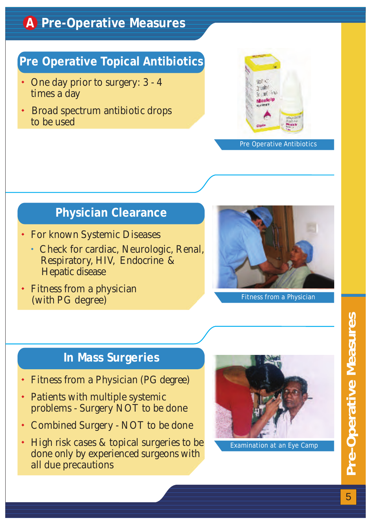### **A Pre-Operative Measures**

#### **Pre Operative Topical Antibiotics**

- One day prior to surgery: 3 4 times a day
- Broad spectrum antibiotic drops to be used



#### Pre Operative Antibiotics

#### **Physician Clearance**

- For known Systemic Diseases
- Check for cardiac, Neurologic, Renal, Respiratory, HIV, Endocrine & Hepatic disease
- Fitness from a physician (with PG degree)



Fitness from a Physician

#### **In Mass Surgeries**

- 
- Fitness from a Physician (PG degree)<br>• Patients with multiple systemic Patients with multiple systemic problems - Surgery NOT to be done
- Combined Surgery NOT to be done

• Combined Surgery - NOT to be done<br>• High risk cases & topical surgeries to be done only by experienced surgeons with all due precautions



Examination at an Eye Camp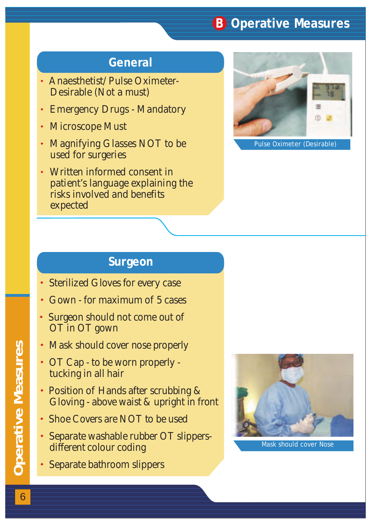#### **B Operative Measures**

#### **General**

- Anaesthetist/Pulse Oximeter- Desirable (Not a must)
- Emergency Drugs Mandatory
- Microscope Must
- Emergency Drugs Mandatory<br>• Microscope Must<br>• Magnifying Glasses NOT to be used for surgeries
- Written informed consent in patient's language explaining the risks involved and benefits expected



Pulse Oximeter (Desirable)

#### **Surgeon**

- Sterilized Gloves for every case
- Gown for maximum of 5 cases
- Sterilized Gloves for every case<br>• Gown for maximum of 5 cases<br>• Surgeon should not come out of OT in OT gown
- Mask should cover nose properly
- Mask should cover nose properl<br>• OT Cap to be worn properly tucking in all hair
- Position of Hands after scrubbing & Gloving - above waist & upright in front
- Shoe Covers are NOT to be used
- Shoe Covers are NOT to be used<br>• Separate washable rubber OT slippersdifferent colour coding
- Separate bathroom slippers



Mask should cover Nose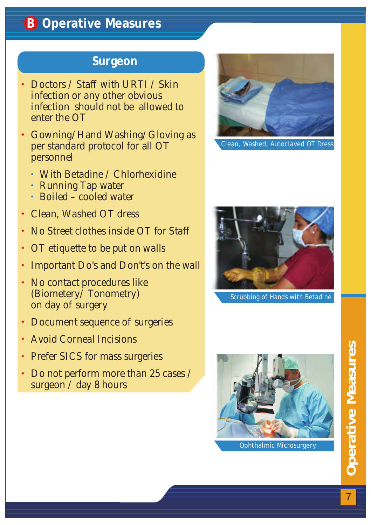#### **B Operative Measures**

#### **Surgeon**

- Doctors / Staff with URTI / Skin infection or any other obvious infection should not be allowed to enter the OT
- Gowning/Hand Washing/Gloving as per standard protocol for all OT personnel
	- With Betadine / Chlorhexidine
- **Running Tap water** • With<br>• Runr<br>• Boile
	- $\cdot$  Boiled cooled water
- Clean, Washed OT dress
- No Street clothes inside OT for Staff
- OT etiquette to be put on walls
- Important Do's and Don't's on the wall • Clean, Washed OT dress<br>• No Street clothes inside OT<br>• OT etiquette to be put on w<br>• Important Do's and Don't's<br>• No contact procedures like
- (Biometery/ Tonometry) on day of surgery
- Document sequence of surgeries
- Avoid Corneal Incisions + Doc<br>+ Avo<br>+ Pref<br>+ Do
- Prefer SICS for mass surgeries
- Do not perform more than 25 cases / surgeon / day 8 hours



Clean, Washed, Autoclaved OT Dress



Scrubbing of Hands with Betadine

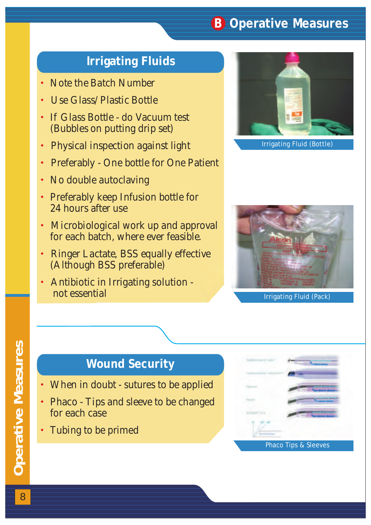#### **B Operative Measures**

#### **Irrigating Fluids**

- Note the Batch Number
- Use Glass/Plastic Bottle
- Note the Batch Number<br>• Use Glass/Plastic Bottle<br>• If Glass Bottle do Vacuum test (Bubbles on putting drip set)
- Physical inspection against light
- Preferably One bottle for One Patient • Physical inspection against light<br>• Preferably - One bottle for One Pat<br>• No double autoclaving<br>• Preferably keep Infusion bottle for
- No double autoclaving
- 24 hours after use
- Microbiological work up and approval for each batch, where ever feasible.
- Ringer Lactate, BSS equally effective (Although BSS preferable)
- Antibiotic in Irrigating solution not essential





Irrigating Fluid (Pack)

#### **Wound Security**

- When in doubt sutures to be applied
- When in doubt sutures to be applied<br>• Phaco Tips and sleeve to be changed for each case
- Tubing to be primed

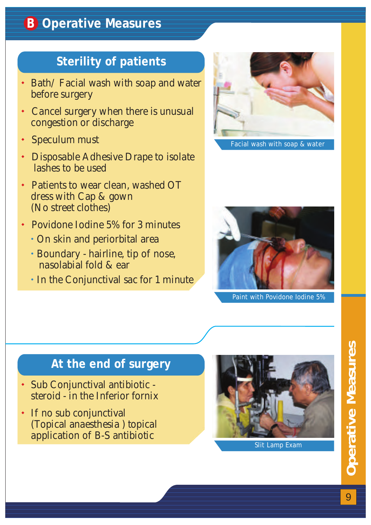#### **Sterility of patients**

- Bath/Facial wash with soap and water before surgery
- Cancel surgery when there is unusual congestion or discharge
- Speculum must
- Speculum must<br>• Disposable Adhesive Drape to isolate lashes to be used
- Patients to wear clean, washed OT dress with Cap & gown (No street clothes)
- - On skin and periorbital area
- Povidone Iodine 5% for 3 minutes<br>• On skin and periorbital area<br>• Boundary hairline, tip of nose, Boundary - hairline, tip of nose, nasolabial fold & ear
- In the Conjunctival sac for 1 minute



Facial wash with soap & water



Paint with Povidone Iodine 5%

#### **At the end of surgery**

- Sub Conjunctival antibiotic steroid - in the Inferior fornix
- If no sub conjunctival (Topical anaesthesia ) topical application of B-S antibiotic

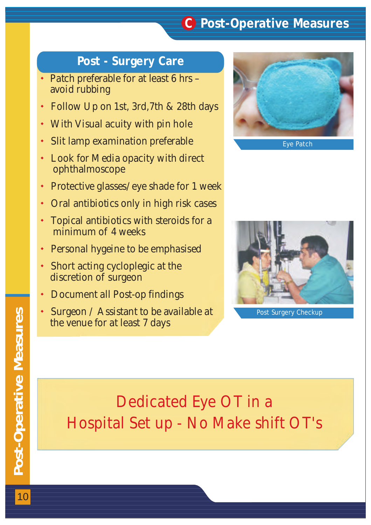#### **C Post-Operative Measures**

#### **Post - Surgery Care**

- Patch preferable for at least 6 hrs avoid rubbing
- Follow Up on 1st, 3rd,7th & 28th days
- 
- With Visual acuity with pin hole Slit lamp examination preferable
- Look for Media opacity with direct ophthalmoscope
- Protective glasses/eye shade for 1 week
- Oral antibiotics only in high risk cases
- Topical antibiotics with steroids for a minimum of 4 weeks
- Personal hygeine to be emphasised
- Short acting cycloplegic at the discretion of surgeon
- Document all Post-op findings
- Surgeon / Assistant to be available at the venue for at least 7 days



Eye Patch



## **Dedicated Eye OT in a Hospital Set up - No Make shift OT's**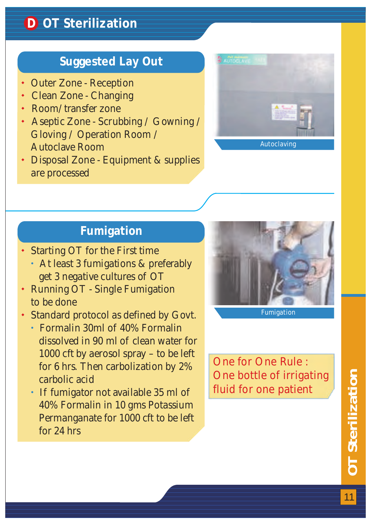#### **Suggested Lay Out**

- 
- Outer Zone Reception<br>• Clean Zone Changing<br>• Room/transfer zone<br>• Aseptic Zone Scrubbin Clean Zone - Changing
- Room/transfer zone
- Aseptic Zone Scrubbing / Gowning / Gloving / Operation Room / Autoclave Room
- Disposal Zone Equipment & supplies are processed



#### **Fumigation**

- Starting OT for the First time
- At least 3 fumigations & preferably get 3 negative cultures of OT
- Running OT Single Fumigation to be done
- Standard protocol as defined by Govt.
- Formalin 30ml of 40% Formalin dissolved in 90 ml of clean water for 1000 cft by aerosol spray – to be left for 6 hrs. Then carbolization by 2% carbolic acid
- **If fumigator not available 35 ml of**  40% Formalin in 10 gms Potassium Permanganate for 1000 cft to be left for 24 hrs



**One for One Rule : One bottle of irrigating fluid for one patient**

**OT Sterilization** OT Sterilization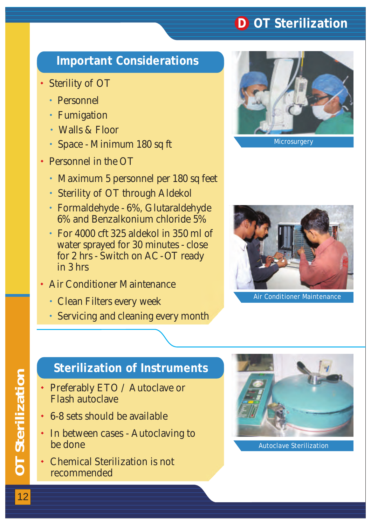#### **D OT Sterilization**

#### **Important Considerations**

- Sterility of OT
	- Personnel
- Personnel<br>• Fumigation
	- Walls & Floor
- Space Minimum 180 sq ft
- Personnel in the OT
	- Maximum 5 personnel per 180 sq feet
- Maximum 5 personnel per 180 s<br>Sterility of OT through Aldekol
- Formaldehyde 6%, Glutaraldehyde 6% and Benzalkonium chloride 5%
- For 4000 cft 325 aldekol in 350 ml of water sprayed for 30 minutes - close for 2 hrs - Switch on AC - OT ready in 3 hrs
- Air Conditioner Maintenance
	- Clean Filters every week
- Clean Filters every week<br>• Servicing and cleaning every month





Air Conditioner Maintenance

#### **Sterilization of Instruments**

- Preferably ETO / Autoclave or Flash autoclave
- 6-8 sets should be available
- 6-8 sets should be available<br>• In between cases Autoclaving to be done
- Chemical Sterilization is not recommended



Autoclave Sterilization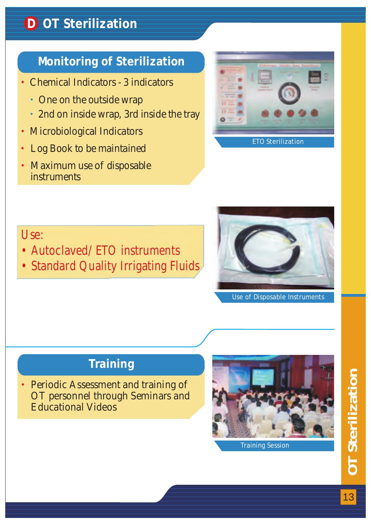#### **D OT Sterilization**

#### **Monitoring of Sterilization**

- Chemical Indicators 3 indicators
	- One on the outside wrap
- One on the outside wrap<br>• 2nd on inside wrap, 3rd inside the tray
- Microbiological Indicators
- Log Book to be maintained Mic:<br>• Log<br>• Max
- Maximum use of disposable instruments



#### **Use:**

- **Autoclaved/ ETO instruments**
- **Standard Quality Irrigating Fluids**



Use of Disposable Instruments

#### **Training**

Periodic Assessment and training of OT personnel through Seminars and Educational Videos

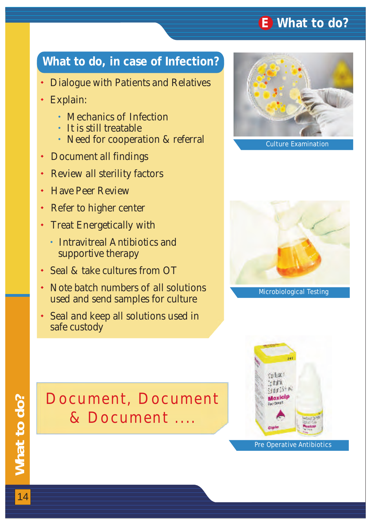#### **E What to do?**

#### **What to do, in case of Infection?**

- Dialogue with Patients and Relatives
- Explain:<br>• Mecl<br>• It is s<br>• Need
	- Mechanics of Infection
	- It is still treatable
	- Need for cooperation & referral
- Document all findings
- Document all findings<br>• Review all sterility facto<br>• Have Peer Review<br>• Refer to higher center<br>• Treat Energetically with Review all sterility factors
- Have Peer Review
- Refer to higher center
- 
- Intravitreal Antibiotics and supportive therapy
- Seal & take cultures from OT
- Seal & take cultures from OT<br>• Note batch numbers of all solutions used and send samples for culture
- Seal and keep all solutions used in safe custody



Culture Examination



Microbiological Testing



## **Document, Document & Document ....**

Pre Operative Antibiotics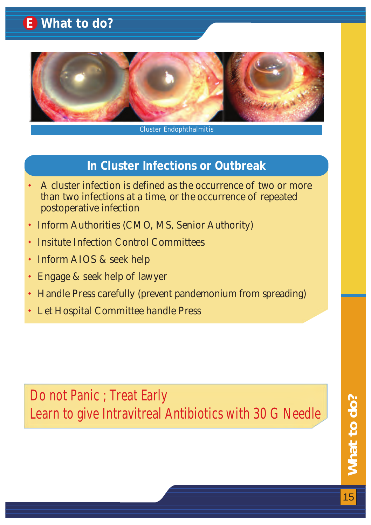### **E What to do?**



#### Cluster Endophthalmitis

#### **In Cluster Infections or Outbreak**

- A cluster infection is defined as the occurrence of two or more than two infections at a time, or the occurrence of repeated postoperative infection
- Inform Authorities (CMO, MS, Senior Authority)
- Insitute Infection Control Committees
- Inform AIOS & seek help
- Engage & seek help of lawyer • Info<br>• Insi<br>• Info<br>• Eng<br>• Har<br>• Let
- Handle Press carefully (prevent pandemonium from spreading)
- Let Hospital Committee handle Press

**Do not Panic ; Treat Early Learn to give Intravitreal Antibiotics with 30 G Needle**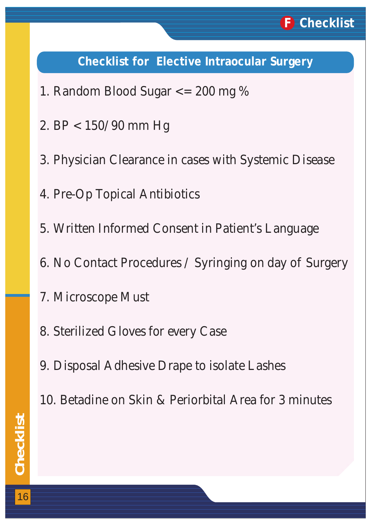#### **Checklist for Elective Intraocular Surgery**

- 1. Random Blood Sugar <= 200 mg %
- 2. BP < 150/90 mm Hg
- Physician Clearance in cases with Systemic Disease 3.
- 4. Pre-Op Topical Antibiotics
- 5. Written Informed Consent in Patient's Language
- 6. No Contact Procedures / Syringing on day of Surgery
- 7. Microscope Must
- 8. Sterilized Gloves for every Case
- 9. Disposal Adhesive Drape to isolate Lashes
- 10. Betadine on Skin & Periorbital Area for 3 minutes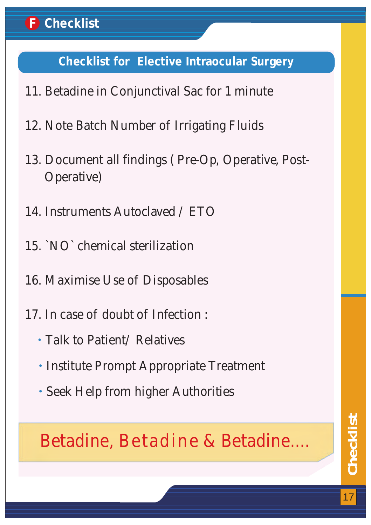#### **Checklist for Elective Intraocular Surgery**

- 11. Betadine in Conjunctival Sac for 1 minute
- 12. Note Batch Number of Irrigating Fluids
- 13. Document all findings ( Pre-Op, Operative, Post- Operative)
- 14. Instruments Autoclaved / ETO
- 15. `NO` chemical sterilization
- 16. Maximise Use of Disposables
- 17. In case of doubt of Infection :
	- Talk to Patient/ Relatives
- **Institute Prompt Appropriate Treatment** • Talk t<br>• Institt<br>• Seek ]
	- Seek Help from higher Authorities

## **Betadine, Betadine & Betadine....**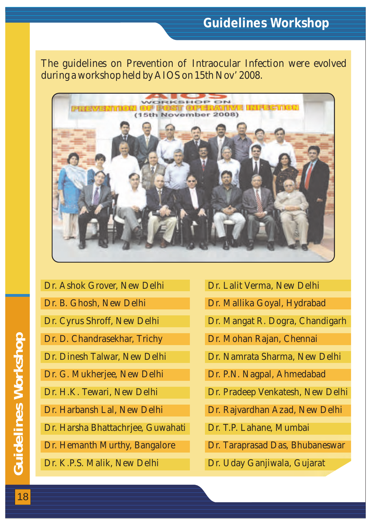#### **Guidelines Workshop**

The guidelines on Prevention of Intraocular Infection were evolved during a workshop held by AIOS on 15th Nov' 2008.



- Dr. Ashok Grover, New Delhi Dr. B. Ghosh, New Delhi Dr. Cyrus Shroff, New Delhi Dr. D. Chandrasekhar, Trichy Dr. Dinesh Talwar, New Delhi Dr. G. Mukherjee, New Delhi Dr. H.K. Tewari, New Delhi Dr. Harbansh Lal, New Delhi Dr. Harsha Bhattachrjee, Guwahati Dr. Hemanth Murthy, Bangalore Dr. K.P.S. Malik, New Delhi
- Dr. Lalit Verma, New Delhi
- Dr. Mallika Goyal, Hydrabad
- Dr. Mangat R. Dogra, Chandigarh
- Dr. Mohan Rajan, Chennai
- Dr. Namrata Sharma, New Delhi
- Dr. P.N. Nagpal, Ahmedabad
- Dr. Pradeep Venkatesh, New Delhi
- Dr. Rajvardhan Azad, New Delhi
- Dr. T.P. Lahane, Mumbai
- Dr. Taraprasad Das, Bhubaneswar
- Dr. Uday Ganjiwala, Gujarat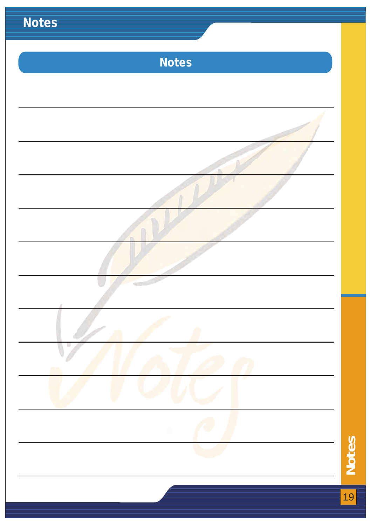